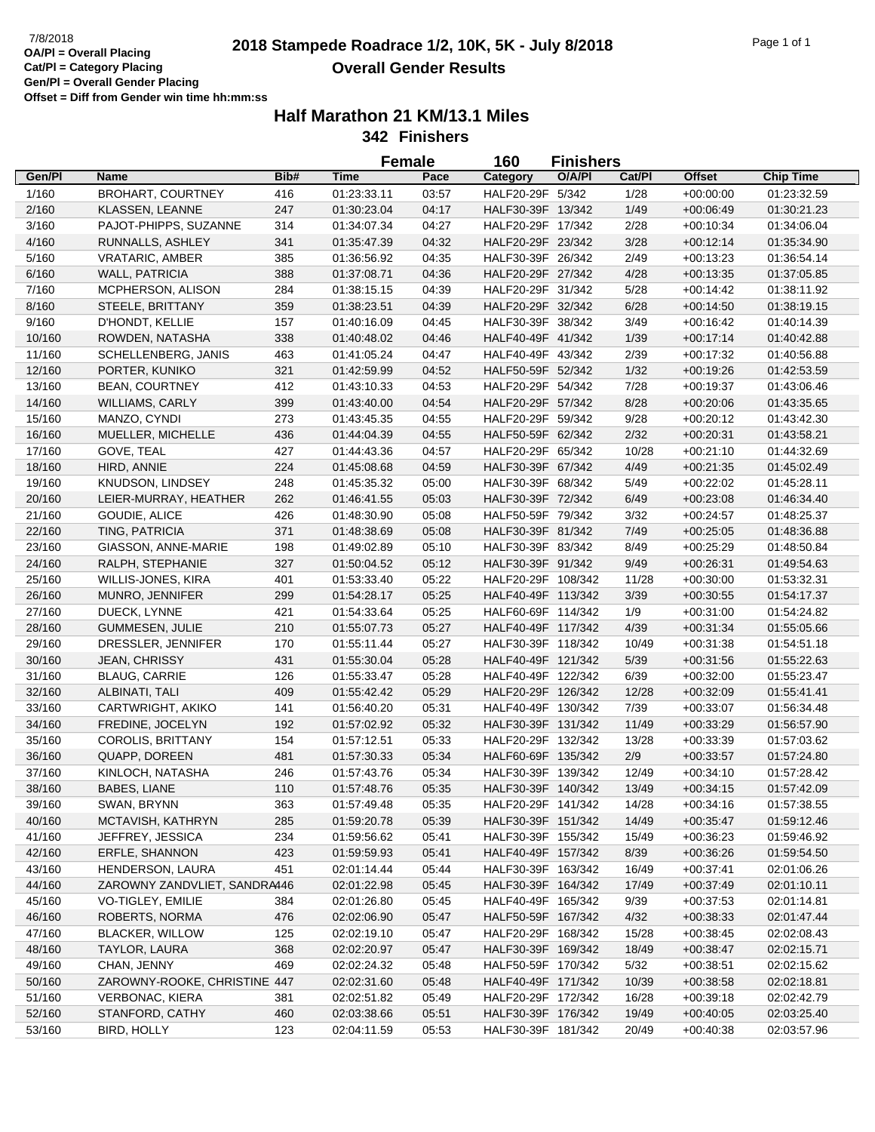# **2018 Stampede Roadrace 1/2, 10K, 5K - July 8/2018** 7/8/2018 Page 1 of 1 **Overall Gender Results**

|        |                              |      | <b>Female</b> |       | 160                | <b>Finishers</b> |        |               |                  |
|--------|------------------------------|------|---------------|-------|--------------------|------------------|--------|---------------|------------------|
| Gen/Pl | <b>Name</b>                  | Bib# | <b>Time</b>   | Pace  | Category           | O/A/PI           | Cat/Pl | <b>Offset</b> | <b>Chip Time</b> |
| 1/160  | <b>BROHART, COURTNEY</b>     | 416  | 01:23:33.11   | 03:57 | HALF20-29F 5/342   |                  | 1/28   | $+00:00:00$   | 01:23:32.59      |
| 2/160  | KLASSEN, LEANNE              | 247  | 01:30:23.04   | 04:17 | HALF30-39F 13/342  |                  | 1/49   | $+00:06:49$   | 01:30:21.23      |
| 3/160  | PAJOT-PHIPPS, SUZANNE        | 314  | 01:34:07.34   | 04:27 | HALF20-29F 17/342  |                  | 2/28   | $+00:10:34$   | 01:34:06.04      |
| 4/160  | RUNNALLS, ASHLEY             | 341  | 01:35:47.39   | 04:32 | HALF20-29F 23/342  |                  | 3/28   | $+00:12:14$   | 01:35:34.90      |
| 5/160  | <b>VRATARIC, AMBER</b>       | 385  | 01:36:56.92   | 04:35 | HALF30-39F 26/342  |                  | 2/49   | $+00:13:23$   | 01:36:54.14      |
| 6/160  | WALL, PATRICIA               | 388  | 01:37:08.71   | 04:36 | HALF20-29F 27/342  |                  | 4/28   | $+00:13:35$   | 01:37:05.85      |
| 7/160  | MCPHERSON, ALISON            | 284  | 01:38:15.15   | 04:39 | HALF20-29F 31/342  |                  | 5/28   | $+00:14:42$   | 01:38:11.92      |
| 8/160  | STEELE, BRITTANY             | 359  | 01:38:23.51   | 04:39 | HALF20-29F 32/342  |                  | 6/28   | $+00:14:50$   | 01:38:19.15      |
| 9/160  | D'HONDT, KELLIE              | 157  | 01:40:16.09   | 04:45 | HALF30-39F 38/342  |                  | 3/49   | $+00:16:42$   | 01:40:14.39      |
| 10/160 | ROWDEN, NATASHA              | 338  | 01:40:48.02   | 04:46 | HALF40-49F 41/342  |                  | 1/39   | $+00:17:14$   | 01:40:42.88      |
| 11/160 | SCHELLENBERG, JANIS          | 463  | 01:41:05.24   | 04:47 | HALF40-49F 43/342  |                  | 2/39   | $+00:17:32$   | 01:40:56.88      |
| 12/160 | PORTER, KUNIKO               | 321  | 01:42:59.99   | 04:52 | HALF50-59F 52/342  |                  | 1/32   | $+00:19:26$   | 01:42:53.59      |
| 13/160 | <b>BEAN, COURTNEY</b>        | 412  | 01:43:10.33   | 04:53 | HALF20-29F 54/342  |                  | 7/28   | $+00:19:37$   | 01:43:06.46      |
| 14/160 | <b>WILLIAMS, CARLY</b>       | 399  | 01:43:40.00   | 04:54 | HALF20-29F 57/342  |                  | 8/28   | $+00:20:06$   | 01:43:35.65      |
| 15/160 | MANZO, CYNDI                 | 273  | 01:43:45.35   | 04:55 | HALF20-29F 59/342  |                  | 9/28   | $+00:20:12$   | 01:43:42.30      |
| 16/160 | MUELLER, MICHELLE            | 436  | 01:44:04.39   | 04:55 | HALF50-59F 62/342  |                  | 2/32   | $+00:20:31$   | 01:43:58.21      |
| 17/160 | GOVE, TEAL                   | 427  | 01:44:43.36   | 04:57 | HALF20-29F 65/342  |                  | 10/28  | $+00:21:10$   | 01:44:32.69      |
| 18/160 | HIRD, ANNIE                  | 224  | 01:45:08.68   | 04:59 | HALF30-39F 67/342  |                  | 4/49   | $+00:21:35$   | 01:45:02.49      |
| 19/160 | KNUDSON, LINDSEY             | 248  | 01:45:35.32   | 05:00 | HALF30-39F 68/342  |                  | 5/49   | $+00:22:02$   | 01:45:28.11      |
| 20/160 | LEIER-MURRAY, HEATHER        | 262  | 01:46:41.55   | 05:03 | HALF30-39F 72/342  |                  | 6/49   | $+00:23:08$   | 01:46:34.40      |
| 21/160 | GOUDIE, ALICE                | 426  | 01:48:30.90   | 05:08 | HALF50-59F 79/342  |                  | 3/32   | $+00:24:57$   | 01:48:25.37      |
| 22/160 | TING, PATRICIA               | 371  | 01:48:38.69   | 05:08 | HALF30-39F 81/342  |                  | 7/49   | $+00:25:05$   | 01:48:36.88      |
| 23/160 | GIASSON, ANNE-MARIE          | 198  |               | 05:10 | HALF30-39F 83/342  |                  | 8/49   |               | 01:48:50.84      |
|        |                              |      | 01:49:02.89   |       |                    |                  | 9/49   | $+00:25:29$   |                  |
| 24/160 | RALPH, STEPHANIE             | 327  | 01:50:04.52   | 05:12 | HALF30-39F 91/342  |                  |        | $+00:26:31$   | 01:49:54.63      |
| 25/160 | WILLIS-JONES, KIRA           | 401  | 01:53:33.40   | 05:22 | HALF20-29F 108/342 |                  | 11/28  | $+00:30:00$   | 01:53:32.31      |
| 26/160 | MUNRO, JENNIFER              | 299  | 01:54:28.17   | 05:25 | HALF40-49F 113/342 |                  | 3/39   | $+00:30:55$   | 01:54:17.37      |
| 27/160 | DUECK, LYNNE                 | 421  | 01:54:33.64   | 05:25 | HALF60-69F 114/342 |                  | 1/9    | $+00:31:00$   | 01:54:24.82      |
| 28/160 | <b>GUMMESEN, JULIE</b>       | 210  | 01:55:07.73   | 05:27 | HALF40-49F 117/342 |                  | 4/39   | $+00:31:34$   | 01:55:05.66      |
| 29/160 | DRESSLER, JENNIFER           | 170  | 01:55:11.44   | 05:27 | HALF30-39F 118/342 |                  | 10/49  | $+00:31:38$   | 01:54:51.18      |
| 30/160 | <b>JEAN, CHRISSY</b>         | 431  | 01:55:30.04   | 05:28 | HALF40-49F 121/342 |                  | 5/39   | $+00:31:56$   | 01:55:22.63      |
| 31/160 | <b>BLAUG, CARRIE</b>         | 126  | 01:55:33.47   | 05:28 | HALF40-49F 122/342 |                  | 6/39   | $+00:32:00$   | 01:55:23.47      |
| 32/160 | ALBINATI, TALI               | 409  | 01:55:42.42   | 05:29 | HALF20-29F 126/342 |                  | 12/28  | $+00:32:09$   | 01:55:41.41      |
| 33/160 | CARTWRIGHT, AKIKO            | 141  | 01:56:40.20   | 05:31 | HALF40-49F 130/342 |                  | 7/39   | $+00:33:07$   | 01:56:34.48      |
| 34/160 | FREDINE, JOCELYN             | 192  | 01:57:02.92   | 05:32 | HALF30-39F 131/342 |                  | 11/49  | $+00:33:29$   | 01:56:57.90      |
| 35/160 | <b>COROLIS, BRITTANY</b>     | 154  | 01:57:12.51   | 05:33 | HALF20-29F 132/342 |                  | 13/28  | $+00:33:39$   | 01:57:03.62      |
| 36/160 | QUAPP, DOREEN                | 481  | 01:57:30.33   | 05:34 | HALF60-69F 135/342 |                  | 2/9    | $+00:33:57$   | 01:57:24.80      |
| 37/160 | KINLOCH, NATASHA             | 246  | 01:57:43.76   | 05:34 | HALF30-39F 139/342 |                  | 12/49  | $+00:34:10$   | 01:57:28.42      |
| 38/160 | <b>BABES, LIANE</b>          | 110  | 01:57:48.76   | 05:35 | HALF30-39F 140/342 |                  | 13/49  | $+00:34:15$   | 01:57:42.09      |
| 39/160 | SWAN, BRYNN                  | 363  | 01:57:49.48   | 05:35 | HALF20-29F 141/342 |                  | 14/28  | $+00:34:16$   | 01:57:38.55      |
| 40/160 | MCTAVISH, KATHRYN            | 285  | 01:59:20.78   | 05:39 | HALF30-39F 151/342 |                  | 14/49  | $+00:35:47$   | 01:59:12.46      |
| 41/160 | JEFFREY, JESSICA             | 234  | 01:59:56.62   | 05:41 | HALF30-39F 155/342 |                  | 15/49  | $+00:36:23$   | 01:59:46.92      |
| 42/160 | ERFLE, SHANNON               | 423  | 01:59:59.93   | 05:41 | HALF40-49F 157/342 |                  | 8/39   | $+00:36:26$   | 01:59:54.50      |
| 43/160 | HENDERSON, LAURA             | 451  | 02:01:14.44   | 05:44 | HALF30-39F 163/342 |                  | 16/49  | $+00:37:41$   | 02:01:06.26      |
| 44/160 | ZAROWNY ZANDVLIET, SANDRA446 |      | 02:01:22.98   | 05:45 | HALF30-39F 164/342 |                  | 17/49  | $+00.37:49$   | 02:01:10.11      |
| 45/160 | VO-TIGLEY, EMILIE            | 384  | 02:01:26.80   | 05:45 | HALF40-49F 165/342 |                  | 9/39   | $+00.37:53$   | 02:01:14.81      |
| 46/160 | ROBERTS, NORMA               | 476  | 02:02:06.90   | 05:47 | HALF50-59F 167/342 |                  | 4/32   | $+00:38:33$   | 02:01:47.44      |
| 47/160 | <b>BLACKER, WILLOW</b>       | 125  | 02:02:19.10   | 05:47 | HALF20-29F 168/342 |                  | 15/28  | $+00:38:45$   | 02:02:08.43      |
| 48/160 | TAYLOR, LAURA                | 368  | 02:02:20.97   | 05:47 | HALF30-39F 169/342 |                  | 18/49  | $+00:38:47$   | 02:02:15.71      |
| 49/160 | CHAN, JENNY                  | 469  | 02:02:24.32   | 05:48 | HALF50-59F 170/342 |                  | 5/32   | $+00:38:51$   | 02:02:15.62      |
| 50/160 | ZAROWNY-ROOKE, CHRISTINE 447 |      | 02:02:31.60   | 05:48 | HALF40-49F 171/342 |                  | 10/39  | $+00.38.58$   | 02:02:18.81      |
| 51/160 | VERBONAC, KIERA              | 381  | 02:02:51.82   | 05:49 | HALF20-29F 172/342 |                  | 16/28  | $+00.39:18$   | 02:02:42.79      |
| 52/160 | STANFORD, CATHY              | 460  | 02:03:38.66   | 05:51 | HALF30-39F 176/342 |                  | 19/49  | $+00.40.05$   | 02:03:25.40      |
| 53/160 | BIRD, HOLLY                  | 123  | 02:04:11.59   | 05:53 | HALF30-39F 181/342 |                  | 20/49  | $+00:40:38$   | 02:03:57.96      |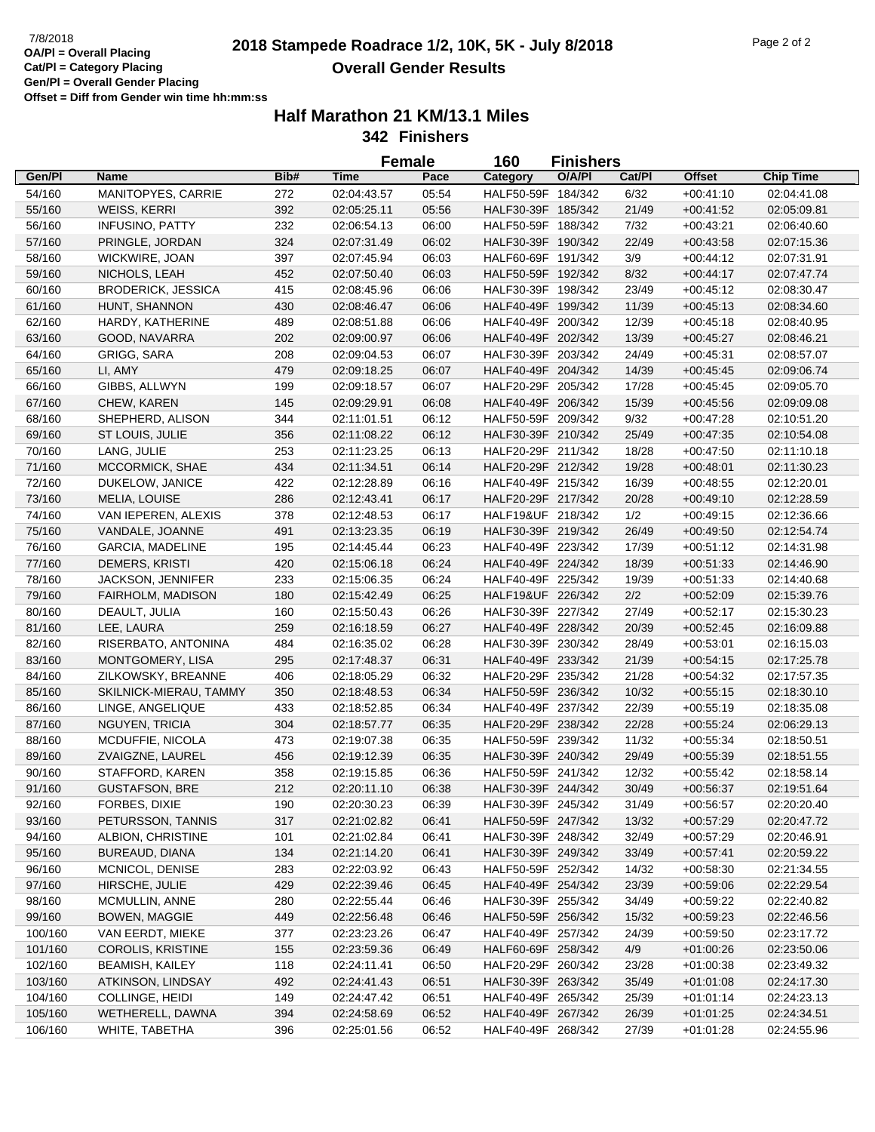# **2018 Stampede Roadrace 1/2, 10K, 5K - July 8/2018** 7/8/2018 Page 2 of 2 **Overall Gender Results**

|         |                           |      |             | <b>Female</b> | 160                | <b>Finishers</b> |        |               |                  |
|---------|---------------------------|------|-------------|---------------|--------------------|------------------|--------|---------------|------------------|
| Gen/Pl  | Name                      | Bib# | <b>Time</b> | Pace          | Category           | O/A/PI           | Cat/Pl | <b>Offset</b> | <b>Chip Time</b> |
| 54/160  | MANITOPYES, CARRIE        | 272  | 02:04:43.57 | 05:54         | HALF50-59F 184/342 |                  | 6/32   | $+00:41:10$   | 02:04:41.08      |
| 55/160  | WEISS, KERRI              | 392  | 02:05:25.11 | 05:56         | HALF30-39F 185/342 |                  | 21/49  | $+00:41:52$   | 02:05:09.81      |
| 56/160  | <b>INFUSINO, PATTY</b>    | 232  | 02:06:54.13 | 06:00         | HALF50-59F 188/342 |                  | 7/32   | $+00:43:21$   | 02:06:40.60      |
| 57/160  | PRINGLE, JORDAN           | 324  | 02:07:31.49 | 06:02         | HALF30-39F 190/342 |                  | 22/49  | $+00.43.58$   | 02:07:15.36      |
| 58/160  | WICKWIRE, JOAN            | 397  | 02:07:45.94 | 06:03         | HALF60-69F 191/342 |                  | 3/9    | $+00:44:12$   | 02:07:31.91      |
| 59/160  | NICHOLS, LEAH             | 452  | 02:07:50.40 | 06:03         | HALF50-59F 192/342 |                  | 8/32   | $+00:44:17$   | 02:07:47.74      |
| 60/160  | <b>BRODERICK, JESSICA</b> | 415  | 02:08:45.96 | 06:06         | HALF30-39F 198/342 |                  | 23/49  | $+00:45:12$   | 02:08:30.47      |
| 61/160  | HUNT, SHANNON             | 430  | 02:08:46.47 | 06:06         | HALF40-49F 199/342 |                  | 11/39  | $+00:45:13$   | 02:08:34.60      |
| 62/160  | HARDY, KATHERINE          | 489  | 02:08:51.88 | 06:06         | HALF40-49F 200/342 |                  | 12/39  | $+00:45:18$   | 02:08:40.95      |
| 63/160  | GOOD, NAVARRA             | 202  | 02:09:00.97 | 06:06         | HALF40-49F 202/342 |                  | 13/39  | $+00:45:27$   | 02:08:46.21      |
| 64/160  | GRIGG, SARA               | 208  | 02:09:04.53 | 06:07         | HALF30-39F 203/342 |                  | 24/49  | $+00:45:31$   | 02:08:57.07      |
| 65/160  | LI, AMY                   | 479  | 02:09:18.25 | 06:07         | HALF40-49F 204/342 |                  | 14/39  | $+00.45:45$   | 02:09:06.74      |
| 66/160  | GIBBS, ALLWYN             | 199  | 02:09:18.57 | 06:07         | HALF20-29F 205/342 |                  | 17/28  | $+00:45:45$   | 02:09:05.70      |
| 67/160  | CHEW, KAREN               | 145  | 02:09:29.91 | 06:08         | HALF40-49F 206/342 |                  | 15/39  |               | 02:09:09.08      |
|         |                           |      |             |               |                    |                  |        | $+00.45:56$   |                  |
| 68/160  | SHEPHERD, ALISON          | 344  | 02:11:01.51 | 06:12         | HALF50-59F 209/342 |                  | 9/32   | $+00:47:28$   | 02:10:51.20      |
| 69/160  | ST LOUIS, JULIE           | 356  | 02:11:08.22 | 06:12         | HALF30-39F 210/342 |                  | 25/49  | $+00.47:35$   | 02:10:54.08      |
| 70/160  | LANG, JULIE               | 253  | 02:11:23.25 | 06:13         | HALF20-29F 211/342 |                  | 18/28  | $+00:47:50$   | 02:11:10.18      |
| 71/160  | MCCORMICK, SHAE           | 434  | 02:11:34.51 | 06:14         | HALF20-29F 212/342 |                  | 19/28  | $+00:48:01$   | 02:11:30.23      |
| 72/160  | DUKELOW, JANICE           | 422  | 02:12:28.89 | 06:16         | HALF40-49F 215/342 |                  | 16/39  | $+00:48:55$   | 02:12:20.01      |
| 73/160  | MELIA, LOUISE             | 286  | 02:12:43.41 | 06:17         | HALF20-29F 217/342 |                  | 20/28  | $+00:49:10$   | 02:12:28.59      |
| 74/160  | VAN IEPEREN, ALEXIS       | 378  | 02:12:48.53 | 06:17         | HALF19&UF 218/342  |                  | 1/2    | $+00:49:15$   | 02:12:36.66      |
| 75/160  | VANDALE, JOANNE           | 491  | 02:13:23.35 | 06:19         | HALF30-39F 219/342 |                  | 26/49  | $+00:49:50$   | 02:12:54.74      |
| 76/160  | <b>GARCIA, MADELINE</b>   | 195  | 02:14:45.44 | 06:23         | HALF40-49F 223/342 |                  | 17/39  | $+00:51:12$   | 02:14:31.98      |
| 77/160  | <b>DEMERS, KRISTI</b>     | 420  | 02:15:06.18 | 06:24         | HALF40-49F 224/342 |                  | 18/39  | $+00:51:33$   | 02:14:46.90      |
| 78/160  | JACKSON, JENNIFER         | 233  | 02:15:06.35 | 06:24         | HALF40-49F 225/342 |                  | 19/39  | $+00:51:33$   | 02:14:40.68      |
| 79/160  | FAIRHOLM, MADISON         | 180  | 02:15:42.49 | 06:25         | HALF19&UF 226/342  |                  | 2/2    | $+00:52:09$   | 02:15:39.76      |
| 80/160  | DEAULT, JULIA             | 160  | 02:15:50.43 | 06:26         | HALF30-39F 227/342 |                  | 27/49  | $+00:52:17$   | 02:15:30.23      |
| 81/160  | LEE, LAURA                | 259  | 02:16:18.59 | 06:27         | HALF40-49F 228/342 |                  | 20/39  | $+00:52:45$   | 02:16:09.88      |
| 82/160  | RISERBATO, ANTONINA       | 484  | 02:16:35.02 | 06:28         | HALF30-39F 230/342 |                  | 28/49  | $+00:53:01$   | 02:16:15.03      |
| 83/160  | MONTGOMERY, LISA          | 295  | 02:17:48.37 | 06:31         | HALF40-49F 233/342 |                  | 21/39  | $+00.54:15$   | 02:17:25.78      |
| 84/160  | ZILKOWSKY, BREANNE        | 406  | 02:18:05.29 | 06:32         | HALF20-29F 235/342 |                  | 21/28  | $+00:54:32$   | 02:17:57.35      |
| 85/160  | SKILNICK-MIERAU, TAMMY    | 350  | 02:18:48.53 | 06:34         | HALF50-59F 236/342 |                  | 10/32  | $+00:55:15$   | 02:18:30.10      |
| 86/160  | LINGE, ANGELIQUE          | 433  | 02:18:52.85 | 06:34         | HALF40-49F 237/342 |                  | 22/39  | $+00:55:19$   | 02:18:35.08      |
| 87/160  | <b>NGUYEN, TRICIA</b>     | 304  | 02:18:57.77 | 06:35         | HALF20-29F 238/342 |                  | 22/28  | $+00.55:24$   | 02:06:29.13      |
| 88/160  | MCDUFFIE, NICOLA          | 473  | 02:19:07.38 | 06:35         | HALF50-59F 239/342 |                  | 11/32  | $+00:55:34$   | 02:18:50.51      |
| 89/160  | ZVAIGZNE, LAUREL          | 456  | 02:19:12.39 | 06:35         | HALF30-39F 240/342 |                  | 29/49  | $+00.55.39$   | 02:18:51.55      |
| 90/160  | STAFFORD, KAREN           | 358  | 02:19:15.85 | 06:36         | HALF50-59F 241/342 |                  | 12/32  | $+00.55:42$   | 02:18:58.14      |
| 91/160  | <b>GUSTAFSON, BRE</b>     | 212  | 02:20:11.10 | 06:38         | HALF30-39F 244/342 |                  | 30/49  | $+00:56:37$   | 02:19:51.64      |
| 92/160  | FORBES, DIXIE             | 190  | 02:20:30.23 | 06:39         | HALF30-39F 245/342 |                  | 31/49  | $+00:56:57$   | 02:20:20.40      |
| 93/160  | PETURSSON, TANNIS         | 317  | 02:21:02.82 | 06:41         | HALF50-59F 247/342 |                  | 13/32  | $+00:57:29$   | 02:20:47.72      |
| 94/160  | ALBION, CHRISTINE         | 101  | 02:21:02.84 | 06:41         | HALF30-39F 248/342 |                  | 32/49  | $+00:57:29$   | 02:20:46.91      |
| 95/160  | BUREAUD, DIANA            | 134  | 02:21:14.20 | 06:41         | HALF30-39F 249/342 |                  | 33/49  | $+00.57:41$   | 02:20:59.22      |
|         | MCNICOL, DENISE           |      | 02:22:03.92 | 06:43         | HALF50-59F 252/342 |                  |        |               |                  |
| 96/160  |                           | 283  |             |               |                    |                  | 14/32  | $+00:58:30$   | 02:21:34.55      |
| 97/160  | HIRSCHE, JULIE            | 429  | 02:22:39.46 | 06:45         | HALF40-49F 254/342 |                  | 23/39  | $+00:59:06$   | 02:22:29.54      |
| 98/160  | MCMULLIN, ANNE            | 280  | 02:22:55.44 | 06:46         | HALF30-39F 255/342 |                  | 34/49  | $+00:59:22$   | 02:22:40.82      |
| 99/160  | <b>BOWEN, MAGGIE</b>      | 449  | 02:22:56.48 | 06:46         | HALF50-59F 256/342 |                  | 15/32  | $+00:59:23$   | 02:22:46.56      |
| 100/160 | VAN EERDT, MIEKE          | 377  | 02:23:23.26 | 06:47         | HALF40-49F 257/342 |                  | 24/39  | $+00:59:50$   | 02:23:17.72      |
| 101/160 | COROLIS, KRISTINE         | 155  | 02:23:59.36 | 06:49         | HALF60-69F 258/342 |                  | 4/9    | $+01:00:26$   | 02:23:50.06      |
| 102/160 | <b>BEAMISH, KAILEY</b>    | 118  | 02:24:11.41 | 06:50         | HALF20-29F 260/342 |                  | 23/28  | $+01:00:38$   | 02:23:49.32      |
| 103/160 | ATKINSON, LINDSAY         | 492  | 02:24:41.43 | 06:51         | HALF30-39F 263/342 |                  | 35/49  | $+01:01:08$   | 02:24:17.30      |
| 104/160 | COLLINGE, HEIDI           | 149  | 02:24:47.42 | 06:51         | HALF40-49F 265/342 |                  | 25/39  | $+01:01:14$   | 02:24:23.13      |
| 105/160 | WETHERELL, DAWNA          | 394  | 02:24:58.69 | 06:52         | HALF40-49F 267/342 |                  | 26/39  | $+01:01:25$   | 02:24:34.51      |
| 106/160 | WHITE, TABETHA            | 396  | 02:25:01.56 | 06:52         | HALF40-49F 268/342 |                  | 27/39  | $+01:01:28$   | 02:24:55.96      |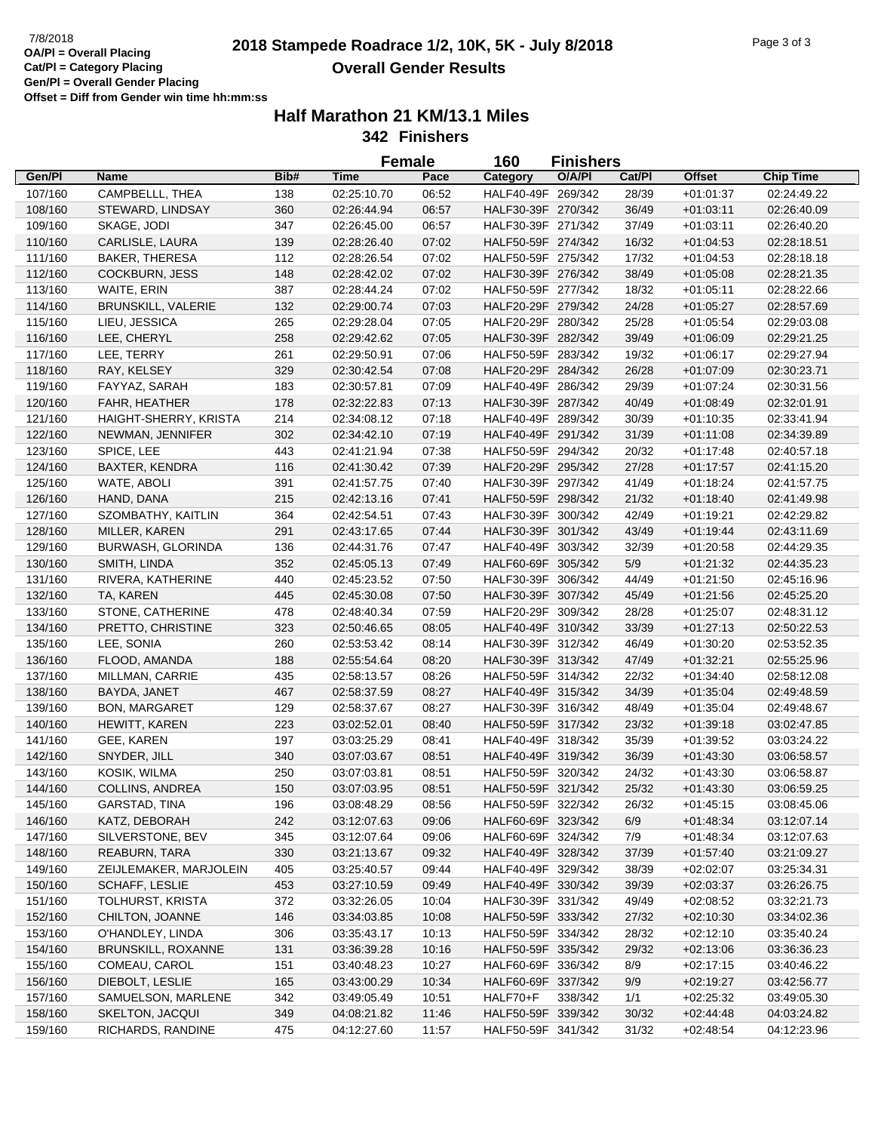# **2018 Stampede Roadrace 1/2, 10K, 5K - July 8/2018** 7/8/2018 Page 3 of 3 **Overall Gender Results**

|         |                           |      | <b>Female</b> |       | 160                | <b>Finishers</b> |        |               |                  |
|---------|---------------------------|------|---------------|-------|--------------------|------------------|--------|---------------|------------------|
| Gen/Pl  | Name                      | Bib# | <b>Time</b>   | Pace  | <b>Category</b>    | O/A/PI           | Cat/Pl | <b>Offset</b> | <b>Chip Time</b> |
| 107/160 | CAMPBELLL, THEA           | 138  | 02:25:10.70   | 06:52 | HALF40-49F 269/342 |                  | 28/39  | $+01:01:37$   | 02:24:49.22      |
| 108/160 | STEWARD, LINDSAY          | 360  | 02:26:44.94   | 06:57 | HALF30-39F 270/342 |                  | 36/49  | $+01:03:11$   | 02:26:40.09      |
| 109/160 | SKAGE, JODI               | 347  | 02:26:45.00   | 06:57 | HALF30-39F 271/342 |                  | 37/49  | $+01:03:11$   | 02:26:40.20      |
| 110/160 | CARLISLE, LAURA           | 139  | 02:28:26.40   | 07:02 | HALF50-59F 274/342 |                  | 16/32  | $+01:04:53$   | 02:28:18.51      |
| 111/160 | <b>BAKER, THERESA</b>     | 112  | 02:28:26.54   | 07:02 | HALF50-59F 275/342 |                  | 17/32  | $+01:04:53$   | 02:28:18.18      |
| 112/160 | <b>COCKBURN, JESS</b>     | 148  | 02:28:42.02   | 07:02 | HALF30-39F 276/342 |                  | 38/49  | $+01:05:08$   | 02:28:21.35      |
| 113/160 | WAITE, ERIN               | 387  | 02:28:44.24   | 07:02 | HALF50-59F 277/342 |                  | 18/32  | $+01:05:11$   | 02:28:22.66      |
| 114/160 | <b>BRUNSKILL, VALERIE</b> | 132  | 02:29:00.74   | 07:03 | HALF20-29F 279/342 |                  | 24/28  | $+01:05:27$   | 02:28:57.69      |
| 115/160 | LIEU, JESSICA             | 265  | 02:29:28.04   | 07:05 | HALF20-29F 280/342 |                  | 25/28  | $+01:05:54$   | 02:29:03.08      |
| 116/160 | LEE, CHERYL               | 258  | 02:29:42.62   | 07:05 | HALF30-39F 282/342 |                  | 39/49  | $+01:06:09$   | 02:29:21.25      |
| 117/160 | LEE, TERRY                | 261  | 02:29:50.91   | 07:06 | HALF50-59F 283/342 |                  | 19/32  | $+01:06:17$   | 02:29:27.94      |
| 118/160 | RAY, KELSEY               | 329  | 02:30:42.54   | 07:08 | HALF20-29F 284/342 |                  | 26/28  | $+01:07:09$   | 02:30:23.71      |
| 119/160 | FAYYAZ, SARAH             | 183  | 02:30:57.81   | 07:09 | HALF40-49F 286/342 |                  | 29/39  | $+01:07:24$   | 02:30:31.56      |
| 120/160 | FAHR, HEATHER             | 178  | 02:32:22.83   | 07:13 | HALF30-39F 287/342 |                  | 40/49  | $+01:08:49$   | 02:32:01.91      |
| 121/160 | HAIGHT-SHERRY, KRISTA     | 214  | 02:34:08.12   | 07:18 | HALF40-49F 289/342 |                  | 30/39  | $+01:10:35$   | 02:33:41.94      |
| 122/160 | NEWMAN, JENNIFER          | 302  | 02:34:42.10   | 07:19 | HALF40-49F 291/342 |                  | 31/39  | $+01:11:08$   | 02:34:39.89      |
| 123/160 | SPICE, LEE                | 443  | 02:41:21.94   | 07:38 | HALF50-59F 294/342 |                  | 20/32  | $+01:17:48$   | 02:40:57.18      |
| 124/160 | BAXTER, KENDRA            | 116  | 02:41:30.42   | 07:39 | HALF20-29F 295/342 |                  | 27/28  | $+01:17:57$   | 02:41:15.20      |
| 125/160 | WATE, ABOLI               | 391  | 02:41:57.75   | 07:40 | HALF30-39F 297/342 |                  | 41/49  | $+01:18:24$   | 02:41:57.75      |
| 126/160 | HAND, DANA                | 215  | 02:42:13.16   | 07:41 | HALF50-59F 298/342 |                  | 21/32  | $+01:18:40$   | 02:41:49.98      |
| 127/160 | SZOMBATHY, KAITLIN        | 364  | 02:42:54.51   | 07:43 | HALF30-39F 300/342 |                  | 42/49  | $+01:19:21$   | 02:42:29.82      |
| 128/160 | MILLER, KAREN             | 291  | 02:43:17.65   | 07:44 | HALF30-39F 301/342 |                  | 43/49  | $+01:19:44$   | 02:43:11.69      |
| 129/160 | BURWASH, GLORINDA         | 136  | 02:44:31.76   | 07:47 | HALF40-49F 303/342 |                  | 32/39  | $+01:20:58$   | 02:44:29.35      |
| 130/160 | SMITH, LINDA              | 352  | 02:45:05.13   | 07:49 | HALF60-69F 305/342 |                  | 5/9    | $+01:21:32$   | 02:44:35.23      |
| 131/160 | RIVERA, KATHERINE         | 440  | 02:45:23.52   | 07:50 | HALF30-39F 306/342 |                  | 44/49  | $+01:21:50$   | 02:45:16.96      |
| 132/160 | TA, KAREN                 | 445  | 02:45:30.08   | 07:50 | HALF30-39F 307/342 |                  | 45/49  | $+01:21:56$   | 02:45:25.20      |
| 133/160 | STONE, CATHERINE          | 478  | 02:48:40.34   | 07:59 | HALF20-29F 309/342 |                  | 28/28  | $+01:25:07$   | 02:48:31.12      |
| 134/160 | PRETTO, CHRISTINE         | 323  | 02:50:46.65   | 08:05 | HALF40-49F 310/342 |                  | 33/39  | $+01:27:13$   | 02:50:22.53      |
| 135/160 | LEE, SONIA                | 260  | 02:53:53.42   | 08:14 | HALF30-39F 312/342 |                  | 46/49  | $+01:30:20$   | 02:53:52.35      |
| 136/160 | FLOOD, AMANDA             | 188  | 02:55:54.64   | 08:20 | HALF30-39F 313/342 |                  | 47/49  | $+01:32:21$   | 02:55:25.96      |
| 137/160 | MILLMAN, CARRIE           | 435  | 02:58:13.57   | 08:26 | HALF50-59F 314/342 |                  | 22/32  | $+01:34:40$   | 02:58:12.08      |
| 138/160 | BAYDA, JANET              | 467  | 02:58:37.59   | 08:27 | HALF40-49F 315/342 |                  | 34/39  | $+01:35:04$   | 02:49:48.59      |
| 139/160 | <b>BON, MARGARET</b>      | 129  | 02:58:37.67   | 08:27 | HALF30-39F 316/342 |                  | 48/49  | $+01:35:04$   | 02:49:48.67      |
| 140/160 | HEWITT, KAREN             | 223  | 03:02:52.01   | 08:40 | HALF50-59F 317/342 |                  | 23/32  | $+01:39:18$   | 03:02:47.85      |
| 141/160 | GEE, KAREN                | 197  | 03:03:25.29   | 08:41 | HALF40-49F 318/342 |                  | 35/39  | $+01:39:52$   | 03:03:24.22      |
| 142/160 | SNYDER, JILL              | 340  | 03:07:03.67   | 08:51 | HALF40-49F 319/342 |                  | 36/39  | $+01:43:30$   | 03:06:58.57      |
| 143/160 | KOSIK, WILMA              | 250  | 03:07:03.81   | 08:51 | HALF50-59F 320/342 |                  | 24/32  | +01:43:30     | 03:06:58.87      |
| 144/160 | <b>COLLINS, ANDREA</b>    | 150  | 03:07:03.95   | 08:51 | HALF50-59F 321/342 |                  | 25/32  | $+01:43:30$   | 03:06:59.25      |
| 145/160 | GARSTAD, TINA             | 196  | 03:08:48.29   | 08:56 | HALF50-59F 322/342 |                  | 26/32  | $+01:45:15$   | 03:08:45.06      |
| 146/160 | KATZ, DEBORAH             | 242  | 03:12:07.63   | 09:06 | HALF60-69F 323/342 |                  | 6/9    | $+01:48:34$   | 03:12:07.14      |
| 147/160 | SILVERSTONE, BEV          | 345  | 03:12:07.64   | 09:06 | HALF60-69F 324/342 |                  | 7/9    | $+01:48:34$   | 03:12:07.63      |
| 148/160 | <b>REABURN, TARA</b>      | 330  | 03:21:13.67   | 09:32 | HALF40-49F 328/342 |                  | 37/39  | $+01:57:40$   | 03:21:09.27      |
| 149/160 | ZEIJLEMAKER, MARJOLEIN    | 405  | 03:25:40.57   | 09:44 | HALF40-49F 329/342 |                  | 38/39  | $+02:02:07$   | 03:25:34.31      |
| 150/160 | <b>SCHAFF, LESLIE</b>     | 453  | 03:27:10.59   | 09:49 | HALF40-49F 330/342 |                  | 39/39  | $+02:03:37$   | 03:26:26.75      |
| 151/160 | TOLHURST, KRISTA          | 372  | 03:32:26.05   | 10:04 | HALF30-39F 331/342 |                  | 49/49  | $+02:08:52$   | 03:32:21.73      |
| 152/160 | CHILTON, JOANNE           | 146  | 03:34:03.85   | 10:08 | HALF50-59F 333/342 |                  | 27/32  | $+02:10:30$   | 03:34:02.36      |
| 153/160 | O'HANDLEY, LINDA          | 306  | 03:35:43.17   | 10:13 | HALF50-59F 334/342 |                  | 28/32  | $+02:12:10$   | 03:35:40.24      |
| 154/160 | BRUNSKILL, ROXANNE        | 131  | 03:36:39.28   | 10:16 | HALF50-59F 335/342 |                  | 29/32  | $+02:13:06$   | 03:36:36.23      |
| 155/160 | COMEAU, CAROL             | 151  | 03:40:48.23   | 10:27 | HALF60-69F 336/342 |                  | 8/9    | $+02:17:15$   | 03:40:46.22      |
| 156/160 | DIEBOLT, LESLIE           | 165  | 03:43:00.29   | 10:34 | HALF60-69F 337/342 |                  | 9/9    | $+02:19:27$   | 03:42:56.77      |
| 157/160 | SAMUELSON, MARLENE        | 342  | 03:49:05.49   | 10:51 | HALF70+F           | 338/342          | 1/1    | $+02:25:32$   | 03:49:05.30      |
| 158/160 | <b>SKELTON, JACQUI</b>    | 349  | 04:08:21.82   | 11:46 | HALF50-59F 339/342 |                  | 30/32  | $+02:44:48$   | 04:03:24.82      |
|         | RICHARDS, RANDINE         |      |               |       |                    |                  |        |               |                  |
| 159/160 |                           | 475  | 04:12:27.60   | 11:57 | HALF50-59F 341/342 |                  | 31/32  | $+02:48:54$   | 04:12:23.96      |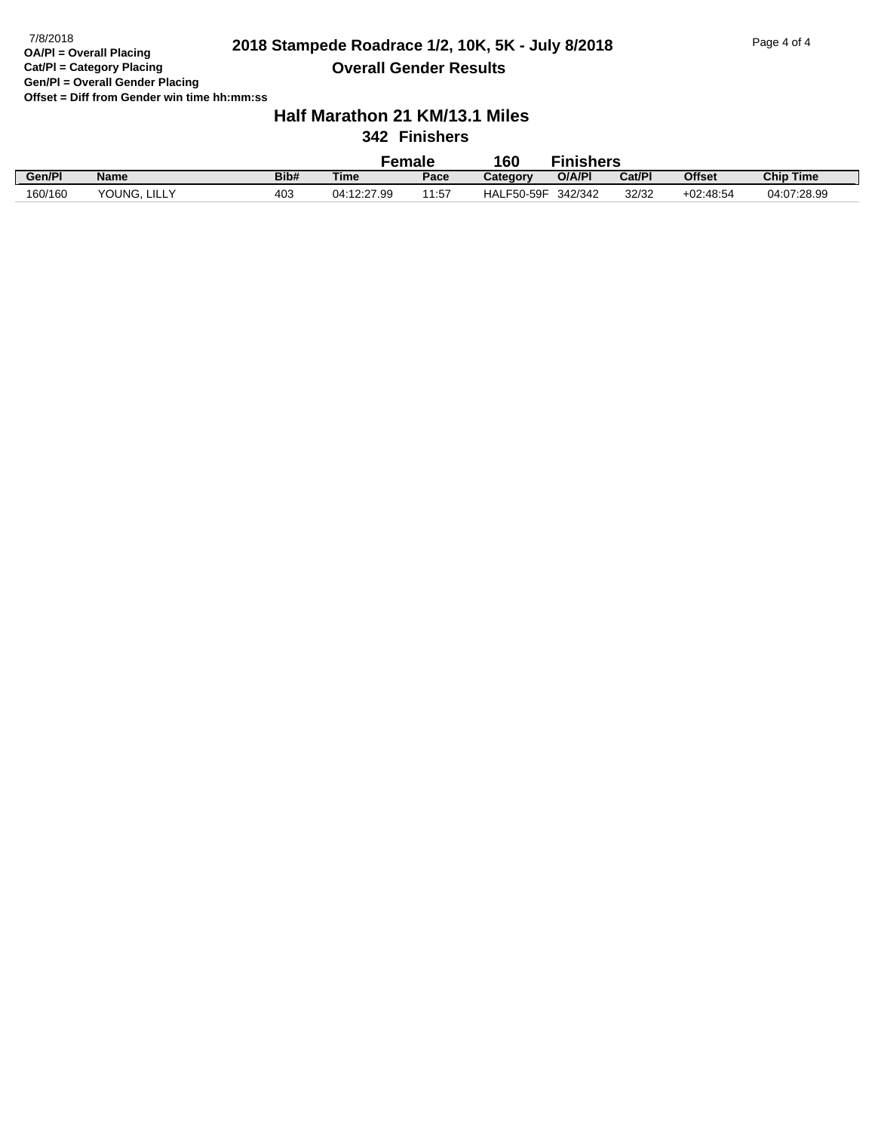#### **Half Marathon 21 KM/13.1 Miles**

#### **342 Finishers**

|         |                   |      | Female      |       | 160            | $\overline{\phantom{a}}$ inishers |        |               |                  |
|---------|-------------------|------|-------------|-------|----------------|-----------------------------------|--------|---------------|------------------|
| Gen/PI  | Name              | Bib# | <b>Time</b> | Pace  | Category       | O/A/PI                            | Cat/Pl | <b>Offset</b> | <b>Chip Time</b> |
| 160/160 | . LILLY<br>YOUNG. | 403  | 04:12:27.99 | 11:57 | HAL<br>F50-59F | 342/342                           | 32/32  | $+02:48:54$   | 04:07:28.99      |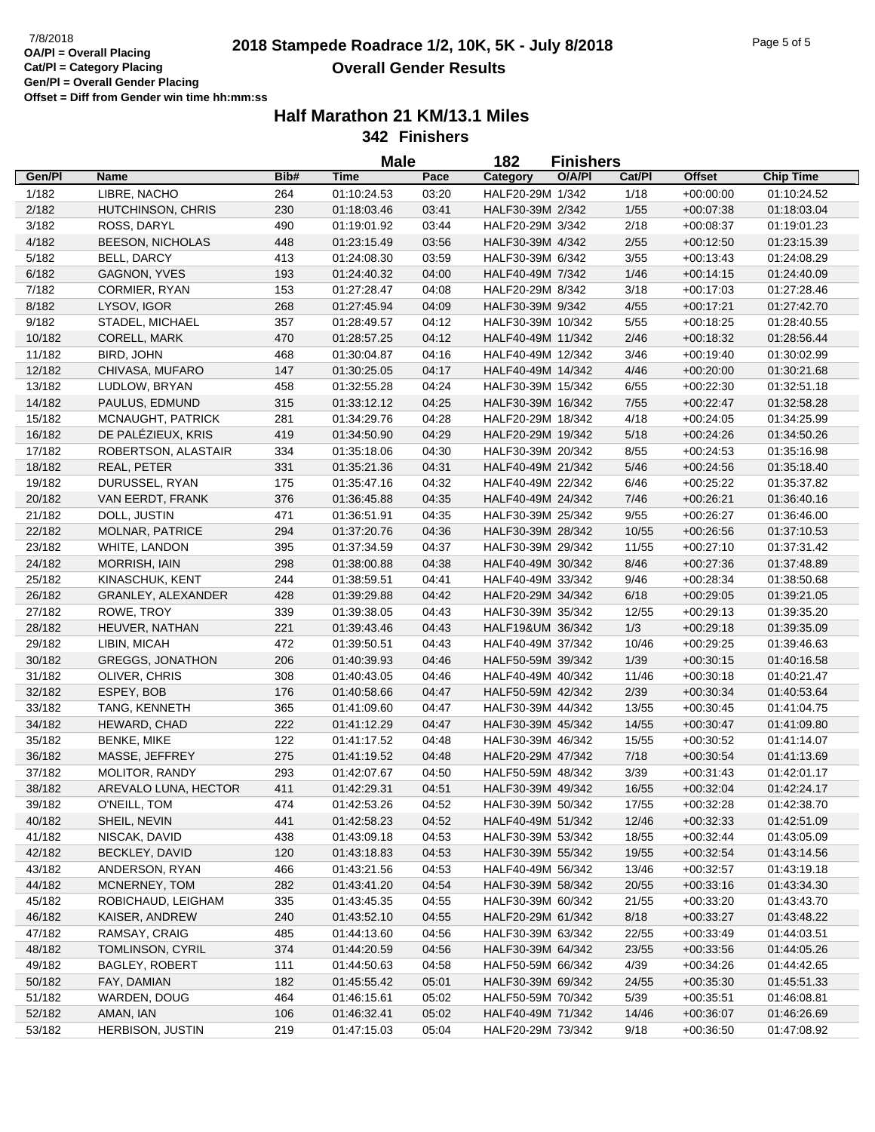## **2018 Stampede Roadrace 1/2, 10K, 5K - July 8/2018** 7/8/2018 Page 5 of 5 **Overall Gender Results**

|        |                         |      | <b>Male</b> |       | 182               | <b>Finishers</b> |        |               |                  |
|--------|-------------------------|------|-------------|-------|-------------------|------------------|--------|---------------|------------------|
| Gen/Pl | <b>Name</b>             | Bib# | Time        | Pace  | Category          | O/A/PI           | Cat/Pl | <b>Offset</b> | <b>Chip Time</b> |
| 1/182  | LIBRE, NACHO            | 264  | 01:10:24.53 | 03:20 | HALF20-29M 1/342  |                  | 1/18   | $+00:00:00$   | 01:10:24.52      |
| 2/182  | HUTCHINSON, CHRIS       | 230  | 01:18:03.46 | 03:41 | HALF30-39M 2/342  |                  | 1/55   | $+00.07:38$   | 01:18:03.04      |
| 3/182  | ROSS, DARYL             | 490  | 01:19:01.92 | 03:44 | HALF20-29M 3/342  |                  | 2/18   | $+00:08:37$   | 01:19:01.23      |
| 4/182  | <b>BEESON, NICHOLAS</b> | 448  | 01:23:15.49 | 03:56 | HALF30-39M 4/342  |                  | 2/55   | $+00:12:50$   | 01:23:15.39      |
| 5/182  | BELL, DARCY             | 413  | 01:24:08.30 | 03:59 | HALF30-39M 6/342  |                  | 3/55   | $+00:13:43$   | 01:24:08.29      |
| 6/182  | <b>GAGNON, YVES</b>     | 193  | 01:24:40.32 | 04:00 | HALF40-49M 7/342  |                  | 1/46   | $+00:14:15$   | 01:24:40.09      |
| 7/182  | CORMIER, RYAN           | 153  | 01:27:28.47 | 04:08 | HALF20-29M 8/342  |                  | 3/18   | $+00:17:03$   | 01:27:28.46      |
| 8/182  | LYSOV, IGOR             | 268  | 01:27:45.94 | 04:09 | HALF30-39M 9/342  |                  | 4/55   | $+00:17:21$   | 01:27:42.70      |
| 9/182  | STADEL, MICHAEL         | 357  | 01:28:49.57 | 04:12 | HALF30-39M 10/342 |                  | 5/55   | $+00:18:25$   | 01:28:40.55      |
| 10/182 | CORELL, MARK            | 470  | 01:28:57.25 | 04:12 | HALF40-49M 11/342 |                  | 2/46   | $+00:18:32$   | 01:28:56.44      |
| 11/182 | BIRD, JOHN              | 468  | 01:30:04.87 | 04:16 | HALF40-49M 12/342 |                  | 3/46   | $+00:19:40$   | 01:30:02.99      |
| 12/182 | CHIVASA, MUFARO         | 147  | 01:30:25.05 | 04:17 | HALF40-49M 14/342 |                  | 4/46   | $+00:20:00$   | 01:30:21.68      |
|        |                         |      |             |       |                   |                  |        |               |                  |
| 13/182 | LUDLOW, BRYAN           | 458  | 01:32:55.28 | 04:24 | HALF30-39M 15/342 |                  | 6/55   | $+00:22:30$   | 01:32:51.18      |
| 14/182 | PAULUS, EDMUND          | 315  | 01:33:12.12 | 04:25 | HALF30-39M 16/342 |                  | 7/55   | $+00:22:47$   | 01:32:58.28      |
| 15/182 | MCNAUGHT, PATRICK       | 281  | 01:34:29.76 | 04:28 | HALF20-29M 18/342 |                  | 4/18   | $+00:24:05$   | 01:34:25.99      |
| 16/182 | DE PALÉZIEUX, KRIS      | 419  | 01:34:50.90 | 04:29 | HALF20-29M 19/342 |                  | 5/18   | $+00:24:26$   | 01:34:50.26      |
| 17/182 | ROBERTSON, ALASTAIR     | 334  | 01:35:18.06 | 04:30 | HALF30-39M 20/342 |                  | 8/55   | $+00:24:53$   | 01:35:16.98      |
| 18/182 | REAL, PETER             | 331  | 01:35:21.36 | 04:31 | HALF40-49M 21/342 |                  | $5/46$ | $+00:24:56$   | 01:35:18.40      |
| 19/182 | DURUSSEL, RYAN          | 175  | 01:35:47.16 | 04:32 | HALF40-49M 22/342 |                  | 6/46   | $+00:25:22$   | 01:35:37.82      |
| 20/182 | VAN EERDT, FRANK        | 376  | 01:36:45.88 | 04:35 | HALF40-49M 24/342 |                  | 7/46   | $+00:26:21$   | 01:36:40.16      |
| 21/182 | DOLL, JUSTIN            | 471  | 01:36:51.91 | 04:35 | HALF30-39M 25/342 |                  | 9/55   | $+00:26:27$   | 01:36:46.00      |
| 22/182 | <b>MOLNAR, PATRICE</b>  | 294  | 01:37:20.76 | 04:36 | HALF30-39M 28/342 |                  | 10/55  | $+00:26:56$   | 01:37:10.53      |
| 23/182 | WHITE, LANDON           | 395  | 01:37:34.59 | 04:37 | HALF30-39M 29/342 |                  | 11/55  | $+00:27:10$   | 01:37:31.42      |
| 24/182 | MORRISH, IAIN           | 298  | 01:38:00.88 | 04:38 | HALF40-49M 30/342 |                  | 8/46   | $+00:27:36$   | 01:37:48.89      |
| 25/182 | KINASCHUK, KENT         | 244  | 01:38:59.51 | 04:41 | HALF40-49M 33/342 |                  | 9/46   | $+00:28:34$   | 01:38:50.68      |
| 26/182 | GRANLEY, ALEXANDER      | 428  | 01:39:29.88 | 04:42 | HALF20-29M 34/342 |                  | 6/18   | $+00:29:05$   | 01:39:21.05      |
| 27/182 | ROWE, TROY              | 339  | 01:39:38.05 | 04:43 | HALF30-39M 35/342 |                  | 12/55  | $+00:29:13$   | 01:39:35.20      |
| 28/182 | HEUVER, NATHAN          | 221  | 01:39:43.46 | 04:43 | HALF19&UM 36/342  |                  | 1/3    | $+00:29:18$   | 01:39:35.09      |
| 29/182 | LIBIN, MICAH            | 472  | 01:39:50.51 | 04:43 | HALF40-49M 37/342 |                  | 10/46  | $+00:29:25$   | 01:39:46.63      |
| 30/182 | <b>GREGGS, JONATHON</b> | 206  | 01:40:39.93 | 04:46 | HALF50-59M 39/342 |                  | 1/39   | $+00:30:15$   | 01:40:16.58      |
| 31/182 | OLIVER, CHRIS           | 308  | 01:40:43.05 | 04:46 | HALF40-49M 40/342 |                  | 11/46  | $+00:30:18$   | 01:40:21.47      |
| 32/182 | ESPEY, BOB              | 176  | 01:40:58.66 | 04:47 | HALF50-59M 42/342 |                  | 2/39   | $+00:30:34$   | 01:40:53.64      |
| 33/182 | TANG, KENNETH           | 365  | 01:41:09.60 | 04:47 | HALF30-39M 44/342 |                  | 13/55  | $+00:30:45$   | 01:41:04.75      |
| 34/182 | HEWARD, CHAD            | 222  | 01:41:12.29 | 04:47 | HALF30-39M 45/342 |                  | 14/55  | $+00.30:47$   | 01:41:09.80      |
| 35/182 | <b>BENKE, MIKE</b>      | 122  | 01:41:17.52 | 04:48 | HALF30-39M 46/342 |                  | 15/55  | $+00:30:52$   | 01:41:14.07      |
| 36/182 | MASSE, JEFFREY          | 275  | 01:41:19.52 | 04:48 | HALF20-29M 47/342 |                  | 7/18   | $+00:30:54$   | 01:41:13.69      |
| 37/182 | MOLITOR, RANDY          | 293  | 01:42:07.67 | 04:50 | HALF50-59M 48/342 |                  | 3/39   | $+00:31:43$   | 01:42:01.17      |
| 38/182 | AREVALO LUNA, HECTOR    | 411  | 01:42:29.31 | 04:51 | HALF30-39M 49/342 |                  | 16/55  | $+00:32:04$   | 01:42:24.17      |
| 39/182 | O'NEILL, TOM            | 474  | 01:42:53.26 | 04:52 | HALF30-39M 50/342 |                  | 17/55  | $+00:32:28$   | 01:42:38.70      |
| 40/182 | SHEIL, NEVIN            | 441  | 01:42:58.23 | 04:52 | HALF40-49M 51/342 |                  | 12/46  | $+00:32:33$   | 01:42:51.09      |
| 41/182 | NISCAK, DAVID           | 438  | 01:43:09.18 | 04:53 | HALF30-39M 53/342 |                  | 18/55  | $+00:32:44$   | 01:43:05.09      |
| 42/182 | BECKLEY, DAVID          | 120  |             | 04:53 |                   |                  | 19/55  |               |                  |
|        |                         |      | 01:43:18.83 |       | HALF30-39M 55/342 |                  |        | $+00:32:54$   | 01:43:14.56      |
| 43/182 | ANDERSON, RYAN          | 466  | 01:43:21.56 | 04:53 | HALF40-49M 56/342 |                  | 13/46  | $+00:32:57$   | 01:43:19.18      |
| 44/182 | MCNERNEY, TOM           | 282  | 01:43:41.20 | 04:54 | HALF30-39M 58/342 |                  | 20/55  | $+00:33:16$   | 01:43:34.30      |
| 45/182 | ROBICHAUD, LEIGHAM      | 335  | 01:43:45.35 | 04:55 | HALF30-39M 60/342 |                  | 21/55  | $+00:33:20$   | 01:43:43.70      |
| 46/182 | KAISER, ANDREW          | 240  | 01:43:52.10 | 04:55 | HALF20-29M 61/342 |                  | 8/18   | $+00:33:27$   | 01:43:48.22      |
| 47/182 | RAMSAY, CRAIG           | 485  | 01:44:13.60 | 04:56 | HALF30-39M 63/342 |                  | 22/55  | $+00:33:49$   | 01:44:03.51      |
| 48/182 | TOMLINSON, CYRIL        | 374  | 01:44:20.59 | 04:56 | HALF30-39M 64/342 |                  | 23/55  | $+00:33:56$   | 01:44:05.26      |
| 49/182 | <b>BAGLEY, ROBERT</b>   | 111  | 01:44:50.63 | 04:58 | HALF50-59M 66/342 |                  | 4/39   | $+00:34:26$   | 01:44:42.65      |
| 50/182 | FAY, DAMIAN             | 182  | 01:45:55.42 | 05:01 | HALF30-39M 69/342 |                  | 24/55  | $+00:35:30$   | 01:45:51.33      |
| 51/182 | WARDEN, DOUG            | 464  | 01:46:15.61 | 05:02 | HALF50-59M 70/342 |                  | 5/39   | $+00:35:51$   | 01:46:08.81      |
| 52/182 | AMAN, IAN               | 106  | 01:46:32.41 | 05:02 | HALF40-49M 71/342 |                  | 14/46  | $+00:36:07$   | 01:46:26.69      |
| 53/182 | HERBISON, JUSTIN        | 219  | 01:47:15.03 | 05:04 | HALF20-29M 73/342 |                  | 9/18   | $+00:36:50$   | 01:47:08.92      |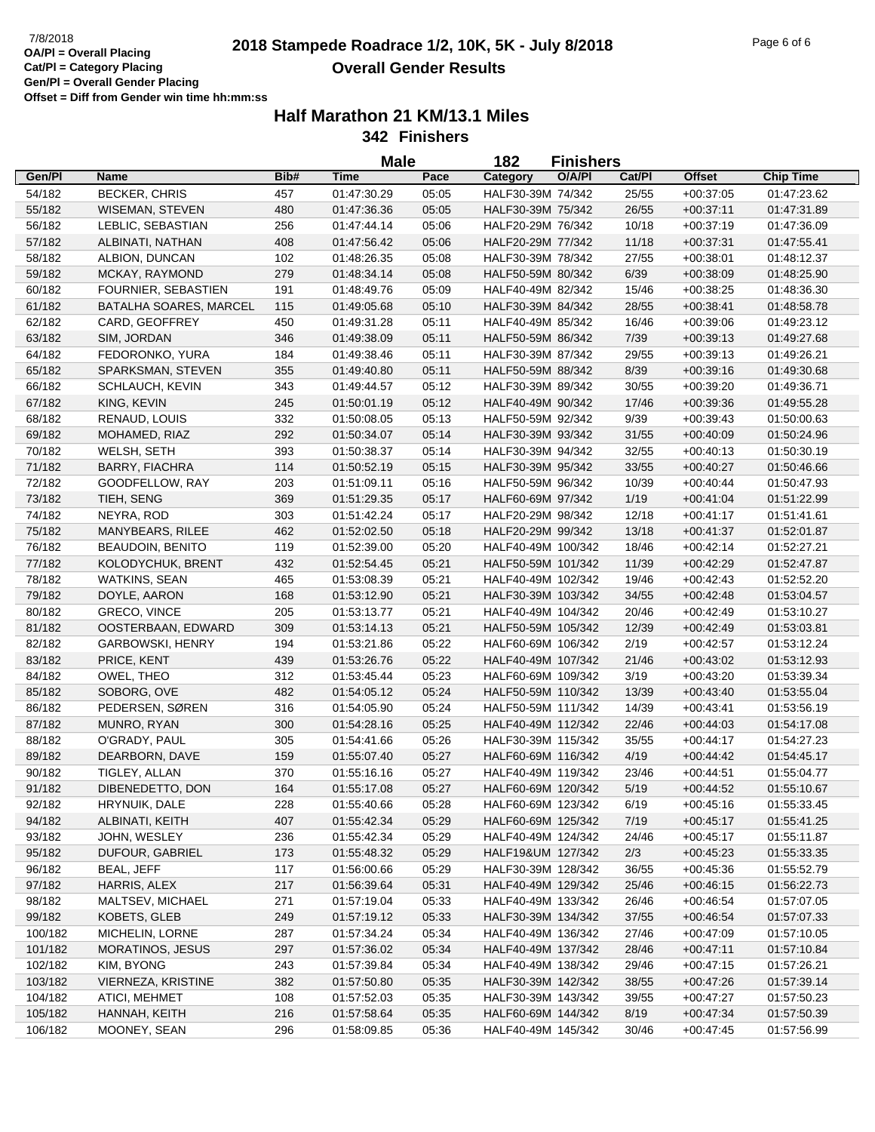## **2018 Stampede Roadrace 1/2, 10K, 5K - July 8/2018** 7/8/2018 Page 6 of 6 **Overall Gender Results**

|         |                         |      | <b>Male</b>                |       | 182                | <b>Finishers</b> |        |                            |                            |
|---------|-------------------------|------|----------------------------|-------|--------------------|------------------|--------|----------------------------|----------------------------|
| Gen/Pl  | <b>Name</b>             | Bib# | <b>Time</b>                | Pace  | Category           | O/A/PI           | Cat/Pl | <b>Offset</b>              | <b>Chip Time</b>           |
| 54/182  | <b>BECKER, CHRIS</b>    | 457  | 01:47:30.29                | 05:05 | HALF30-39M 74/342  |                  | 25/55  | $+00:37:05$                | 01:47:23.62                |
| 55/182  | <b>WISEMAN, STEVEN</b>  | 480  | 01:47:36.36                | 05:05 | HALF30-39M 75/342  |                  | 26/55  | $+00:37:11$                | 01:47:31.89                |
| 56/182  | LEBLIC, SEBASTIAN       | 256  | 01:47:44.14                | 05:06 | HALF20-29M 76/342  |                  | 10/18  | $+00:37:19$                | 01:47:36.09                |
| 57/182  | ALBINATI, NATHAN        | 408  | 01:47:56.42                | 05:06 | HALF20-29M 77/342  |                  | 11/18  | $+00:37:31$                | 01:47:55.41                |
| 58/182  | ALBION, DUNCAN          | 102  | 01:48:26.35                | 05:08 | HALF30-39M 78/342  |                  | 27/55  | $+00:38:01$                | 01:48:12.37                |
| 59/182  | MCKAY, RAYMOND          | 279  | 01:48:34.14                | 05:08 | HALF50-59M 80/342  |                  | 6/39   | $+00:38:09$                | 01:48:25.90                |
| 60/182  | FOURNIER, SEBASTIEN     | 191  | 01:48:49.76                | 05:09 | HALF40-49M 82/342  |                  | 15/46  | $+00:38:25$                | 01:48:36.30                |
| 61/182  | BATALHA SOARES, MARCEL  | 115  | 01:49:05.68                | 05:10 | HALF30-39M 84/342  |                  | 28/55  | $+00:38:41$                | 01:48:58.78                |
| 62/182  | CARD, GEOFFREY          | 450  | 01:49:31.28                | 05:11 | HALF40-49M 85/342  |                  | 16/46  | $+00:39:06$                | 01:49:23.12                |
| 63/182  | SIM, JORDAN             | 346  | 01:49:38.09                | 05:11 | HALF50-59M 86/342  |                  | 7/39   | $+00:39:13$                | 01:49:27.68                |
| 64/182  | FEDORONKO, YURA         | 184  | 01:49:38.46                | 05:11 | HALF30-39M 87/342  |                  | 29/55  | $+00:39:13$                | 01:49:26.21                |
| 65/182  | SPARKSMAN, STEVEN       | 355  | 01:49:40.80                | 05:11 | HALF50-59M 88/342  |                  | 8/39   | $+00:39:16$                | 01:49:30.68                |
| 66/182  | SCHLAUCH, KEVIN         | 343  | 01:49:44.57                | 05:12 | HALF30-39M 89/342  |                  | 30/55  | $+00:39:20$                | 01:49:36.71                |
| 67/182  | KING, KEVIN             | 245  | 01:50:01.19                | 05:12 | HALF40-49M 90/342  |                  | 17/46  | $+00:39:36$                | 01:49:55.28                |
| 68/182  | RENAUD, LOUIS           | 332  | 01:50:08.05                | 05:13 | HALF50-59M 92/342  |                  | 9/39   | $+00:39:43$                | 01:50:00.63                |
| 69/182  | MOHAMED, RIAZ           | 292  | 01:50:34.07                | 05:14 | HALF30-39M 93/342  |                  | 31/55  | $+00:40:09$                | 01:50:24.96                |
| 70/182  | WELSH, SETH             | 393  | 01:50:38.37                | 05:14 | HALF30-39M 94/342  |                  | 32/55  | $+00:40:13$                | 01:50:30.19                |
| 71/182  | <b>BARRY, FIACHRA</b>   | 114  | 01:50:52.19                | 05:15 | HALF30-39M 95/342  |                  | 33/55  | $+00:40:27$                | 01:50:46.66                |
| 72/182  | GOODFELLOW, RAY         | 203  | 01:51:09.11                | 05:16 | HALF50-59M 96/342  |                  | 10/39  | $+00:40:44$                | 01:50:47.93                |
| 73/182  | TIEH, SENG              | 369  | 01:51:29.35                | 05:17 | HALF60-69M 97/342  |                  | 1/19   | $+00:41:04$                | 01:51:22.99                |
| 74/182  | NEYRA, ROD              | 303  | 01:51:42.24                | 05:17 | HALF20-29M 98/342  |                  | 12/18  | $+00:41:17$                | 01:51:41.61                |
| 75/182  | MANYBEARS, RILEE        | 462  | 01:52:02.50                | 05:18 | HALF20-29M 99/342  |                  | 13/18  | $+00:41:37$                | 01:52:01.87                |
| 76/182  | <b>BEAUDOIN, BENITO</b> | 119  | 01:52:39.00                | 05:20 | HALF40-49M 100/342 |                  | 18/46  | $+00:42:14$                | 01:52:27.21                |
| 77/182  | KOLODYCHUK, BRENT       | 432  | 01:52:54.45                | 05:21 | HALF50-59M 101/342 |                  | 11/39  | $+00:42:29$                | 01:52:47.87                |
| 78/182  | <b>WATKINS, SEAN</b>    | 465  | 01:53:08.39                | 05:21 | HALF40-49M 102/342 |                  | 19/46  | $+00:42:43$                | 01:52:52.20                |
| 79/182  | DOYLE, AARON            | 168  | 01:53:12.90                | 05:21 | HALF30-39M 103/342 |                  | 34/55  | $+00:42:48$                | 01:53:04.57                |
| 80/182  | GRECO, VINCE            | 205  | 01:53:13.77                | 05:21 | HALF40-49M 104/342 |                  | 20/46  | $+00:42:49$                | 01:53:10.27                |
| 81/182  | OOSTERBAAN, EDWARD      | 309  | 01:53:14.13                | 05:21 | HALF50-59M 105/342 |                  | 12/39  | $+00:42:49$                | 01:53:03.81                |
| 82/182  | GARBOWSKI, HENRY        | 194  | 01:53:21.86                | 05:22 | HALF60-69M 106/342 |                  | 2/19   | $+00:42:57$                | 01:53:12.24                |
| 83/182  | PRICE, KENT             | 439  | 01:53:26.76                | 05:22 | HALF40-49M 107/342 |                  | 21/46  | $+00:43:02$                | 01:53:12.93                |
| 84/182  | OWEL, THEO              | 312  | 01:53:45.44                | 05:23 | HALF60-69M 109/342 |                  | 3/19   | $+00:43:20$                | 01:53:39.34                |
| 85/182  | SOBORG, OVE             | 482  | 01:54:05.12                | 05:24 | HALF50-59M 110/342 |                  | 13/39  | $+00:43:40$                | 01:53:55.04                |
| 86/182  | PEDERSEN, SØREN         | 316  | 01:54:05.90                | 05:24 | HALF50-59M 111/342 |                  | 14/39  | $+00:43:41$                | 01:53:56.19                |
| 87/182  | MUNRO, RYAN             | 300  | 01:54:28.16                | 05:25 | HALF40-49M 112/342 |                  | 22/46  | $+00:44:03$                | 01:54:17.08                |
| 88/182  | O'GRADY, PAUL           | 305  |                            | 05:26 | HALF30-39M 115/342 |                  | 35/55  | $+00:44:17$                |                            |
| 89/182  | DEARBORN, DAVE          | 159  | 01:54:41.66<br>01:55:07.40 | 05:27 | HALF60-69M 116/342 |                  | 4/19   | $+00:44:42$                | 01:54:27.23                |
| 90/182  | TIGLEY, ALLAN           | 370  |                            | 05:27 | HALF40-49M 119/342 |                  | 23/46  |                            | 01:54:45.17                |
| 91/182  | DIBENEDETTO, DON        | 164  | 01:55:16.16<br>01:55:17.08 | 05:27 | HALF60-69M 120/342 |                  | 5/19   | $+00:44:51$<br>$+00:44:52$ | 01:55:04.77<br>01:55:10.67 |
|         |                         |      |                            |       |                    |                  |        |                            |                            |
| 92/182  | HRYNUIK, DALE           | 228  | 01:55:40.66                | 05:28 | HALF60-69M 123/342 |                  | 6/19   | $+00:45:16$                | 01:55:33.45                |
| 94/182  | ALBINATI, KEITH         | 407  | 01:55:42.34                | 05:29 | HALF60-69M 125/342 |                  | 7/19   | $+00:45:17$                | 01:55:41.25                |
| 93/182  | JOHN, WESLEY            | 236  | 01:55:42.34                | 05:29 | HALF40-49M 124/342 |                  | 24/46  | $+00:45:17$                | 01:55:11.87                |
| 95/182  | DUFOUR, GABRIEL         | 173  | 01:55:48.32                | 05:29 | HALF19&UM 127/342  |                  | 2/3    | $+00.45:23$                | 01:55:33.35                |
| 96/182  | BEAL, JEFF              | 117  | 01:56:00.66                | 05:29 | HALF30-39M 128/342 |                  | 36/55  | $+00.45:36$                | 01:55:52.79                |
| 97/182  | HARRIS, ALEX            | 217  | 01:56:39.64                | 05:31 | HALF40-49M 129/342 |                  | 25/46  | $+00:46:15$                | 01:56:22.73                |
| 98/182  | MALTSEV, MICHAEL        | 271  | 01:57:19.04                | 05:33 | HALF40-49M 133/342 |                  | 26/46  | $+00:46:54$                | 01:57:07.05                |
| 99/182  | KOBETS, GLEB            | 249  | 01:57:19.12                | 05:33 | HALF30-39M 134/342 |                  | 37/55  | $+00:46:54$                | 01:57:07.33                |
| 100/182 | MICHELIN, LORNE         | 287  | 01:57:34.24                | 05:34 | HALF40-49M 136/342 |                  | 27/46  | $+00:47:09$                | 01:57:10.05                |
| 101/182 | <b>MORATINOS, JESUS</b> | 297  | 01:57:36.02                | 05:34 | HALF40-49M 137/342 |                  | 28/46  | $+00.47:11$                | 01:57:10.84                |
| 102/182 | KIM, BYONG              | 243  | 01:57:39.84                | 05:34 | HALF40-49M 138/342 |                  | 29/46  | $+00:47:15$                | 01:57:26.21                |
| 103/182 | VIERNEZA, KRISTINE      | 382  | 01:57:50.80                | 05:35 | HALF30-39M 142/342 |                  | 38/55  | $+00:47:26$                | 01:57:39.14                |
| 104/182 | ATICI, MEHMET           | 108  | 01:57:52.03                | 05:35 | HALF30-39M 143/342 |                  | 39/55  | $+00:47:27$                | 01:57:50.23                |
| 105/182 | HANNAH, KEITH           | 216  | 01:57:58.64                | 05:35 | HALF60-69M 144/342 |                  | 8/19   | $+00:47:34$                | 01:57:50.39                |
| 106/182 | MOONEY, SEAN            | 296  | 01:58:09.85                | 05:36 | HALF40-49M 145/342 |                  | 30/46  | $+00:47:45$                | 01:57:56.99                |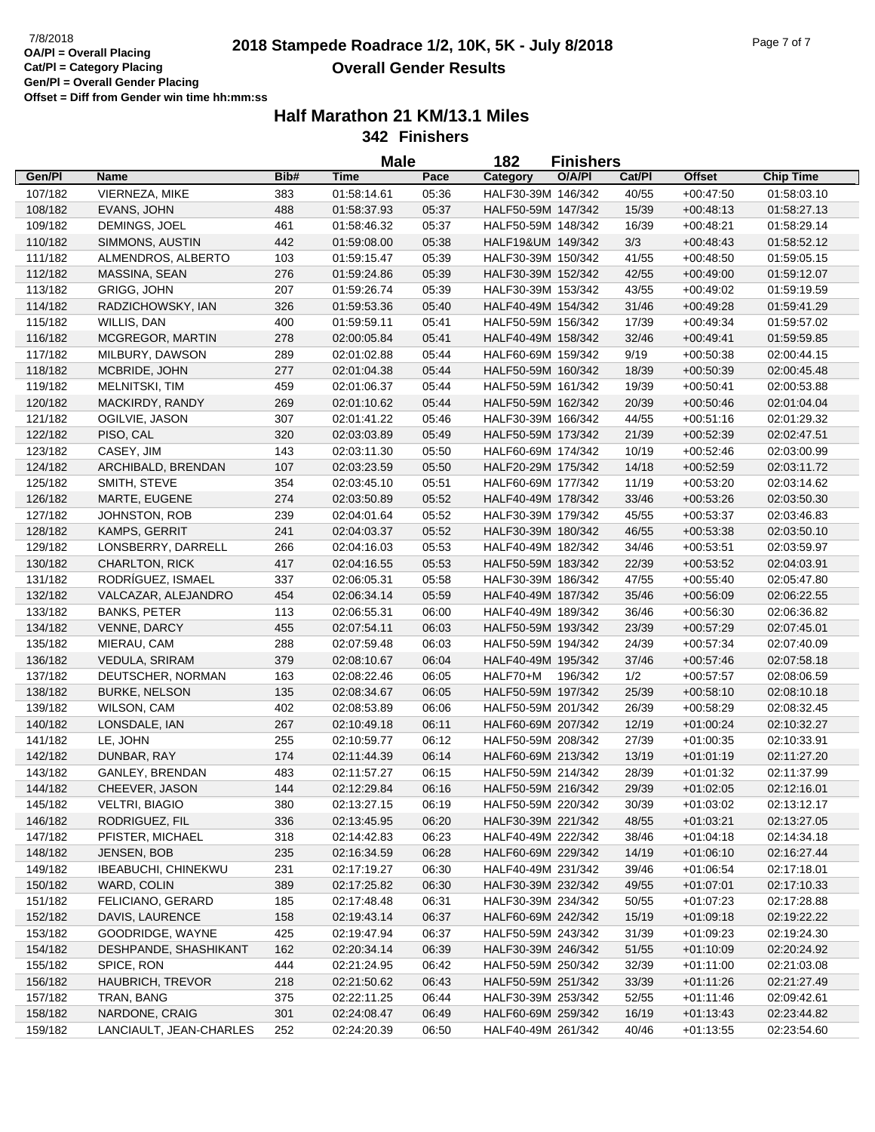## **2018**  $\frac{7}{8}/2018$  **2018 Stampede Roadrace 1/2, 10K, 5K - July 8/2018** Page 7 of 7 **Overall Gender Results**

|         |                                |      | <b>Male</b>                |       | 182                | <b>Finishers</b> |        |                            |                            |
|---------|--------------------------------|------|----------------------------|-------|--------------------|------------------|--------|----------------------------|----------------------------|
| Gen/Pl  | <b>Name</b>                    | Bib# | <b>Time</b>                | Pace  | <b>Category</b>    | O/A/PI           | Cat/Pl | <b>Offset</b>              | <b>Chip Time</b>           |
| 107/182 | VIERNEZA, MIKE                 | 383  | 01:58:14.61                | 05:36 | HALF30-39M 146/342 |                  | 40/55  | $+00:47:50$                | 01:58:03.10                |
| 108/182 | EVANS, JOHN                    | 488  | 01:58:37.93                | 05:37 | HALF50-59M 147/342 |                  | 15/39  | $+00:48:13$                | 01:58:27.13                |
| 109/182 | DEMINGS, JOEL                  | 461  | 01:58:46.32                | 05:37 | HALF50-59M 148/342 |                  | 16/39  | $+00:48:21$                | 01:58:29.14                |
| 110/182 | SIMMONS, AUSTIN                | 442  | 01:59:08.00                | 05:38 | HALF19&UM 149/342  |                  | 3/3    | $+00.48.43$                | 01:58:52.12                |
| 111/182 | ALMENDROS, ALBERTO             | 103  | 01:59:15.47                | 05:39 | HALF30-39M 150/342 |                  | 41/55  | $+00.48:50$                | 01:59:05.15                |
| 112/182 | MASSINA, SEAN                  | 276  | 01:59:24.86                | 05:39 | HALF30-39M 152/342 |                  | 42/55  | $+00.49:00$                | 01:59:12.07                |
| 113/182 | GRIGG, JOHN                    | 207  | 01:59:26.74                | 05:39 | HALF30-39M 153/342 |                  | 43/55  | $+00.49:02$                | 01:59:19.59                |
| 114/182 | RADZICHOWSKY, IAN              | 326  | 01:59:53.36                | 05:40 | HALF40-49M 154/342 |                  | 31/46  | $+00:49:28$                | 01:59:41.29                |
| 115/182 | WILLIS, DAN                    | 400  | 01:59:59.11                | 05:41 | HALF50-59M 156/342 |                  | 17/39  | $+00.49:34$                | 01:59:57.02                |
| 116/182 | MCGREGOR, MARTIN               | 278  | 02:00:05.84                | 05:41 | HALF40-49M 158/342 |                  | 32/46  | $+00:49:41$                | 01:59:59.85                |
| 117/182 | MILBURY, DAWSON                | 289  | 02:01:02.88                | 05:44 | HALF60-69M 159/342 |                  | 9/19   | $+00:50:38$                | 02:00:44.15                |
| 118/182 | MCBRIDE, JOHN                  | 277  | 02:01:04.38                | 05:44 | HALF50-59M 160/342 |                  | 18/39  | $+00:50:39$                | 02:00:45.48                |
| 119/182 | MELNITSKI, TIM                 | 459  | 02:01:06.37                | 05:44 | HALF50-59M 161/342 |                  | 19/39  | $+00:50:41$                | 02:00:53.88                |
| 120/182 | MACKIRDY, RANDY                | 269  | 02:01:10.62                | 05:44 | HALF50-59M 162/342 |                  | 20/39  | $+00:50:46$                | 02:01:04.04                |
| 121/182 | OGILVIE, JASON                 | 307  | 02:01:41.22                | 05:46 | HALF30-39M 166/342 |                  | 44/55  | $+00:51:16$                | 02:01:29.32                |
| 122/182 | PISO, CAL                      | 320  | 02:03:03.89                | 05:49 | HALF50-59M 173/342 |                  | 21/39  | $+00.52:39$                | 02:02:47.51                |
| 123/182 | CASEY, JIM                     | 143  | 02:03:11.30                | 05:50 | HALF60-69M 174/342 |                  | 10/19  | $+00.52:46$                | 02:03:00.99                |
| 124/182 | ARCHIBALD, BRENDAN             | 107  | 02:03:23.59                | 05:50 | HALF20-29M 175/342 |                  | 14/18  | $+00:52:59$                | 02:03:11.72                |
| 125/182 | SMITH, STEVE                   | 354  | 02:03:45.10                | 05:51 | HALF60-69M 177/342 |                  | 11/19  | $+00:53:20$                | 02:03:14.62                |
| 126/182 | MARTE, EUGENE                  | 274  | 02:03:50.89                |       | HALF40-49M 178/342 |                  | 33/46  |                            | 02:03:50.30                |
|         |                                |      |                            | 05:52 |                    |                  |        | $+00:53:26$                |                            |
| 127/182 | JOHNSTON, ROB<br>KAMPS, GERRIT | 239  | 02:04:01.64<br>02:04:03.37 | 05:52 | HALF30-39M 179/342 |                  | 45/55  | $+00:53:37$<br>$+00.53.38$ | 02:03:46.83<br>02:03:50.10 |
| 128/182 |                                | 241  |                            | 05:52 | HALF30-39M 180/342 |                  | 46/55  |                            |                            |
| 129/182 | LONSBERRY, DARRELL             | 266  | 02:04:16.03                | 05:53 | HALF40-49M 182/342 |                  | 34/46  | $+00:53:51$                | 02:03:59.97                |
| 130/182 | <b>CHARLTON, RICK</b>          | 417  | 02:04:16.55                | 05:53 | HALF50-59M 183/342 |                  | 22/39  | $+00.53:52$                | 02:04:03.91                |
| 131/182 | RODRÍGUEZ, ISMAEL              | 337  | 02:06:05.31                | 05:58 | HALF30-39M 186/342 |                  | 47/55  | $+00.55:40$                | 02:05:47.80                |
| 132/182 | VALCAZAR, ALEJANDRO            | 454  | 02:06:34.14                | 05:59 | HALF40-49M 187/342 |                  | 35/46  | $+00:56:09$                | 02:06:22.55                |
| 133/182 | <b>BANKS, PETER</b>            | 113  | 02:06:55.31                | 06:00 | HALF40-49M 189/342 |                  | 36/46  | $+00:56:30$                | 02:06:36.82                |
| 134/182 | VENNE, DARCY                   | 455  | 02:07:54.11                | 06:03 | HALF50-59M 193/342 |                  | 23/39  | $+00:57:29$                | 02:07:45.01                |
| 135/182 | MIERAU, CAM                    | 288  | 02:07:59.48                | 06:03 | HALF50-59M 194/342 |                  | 24/39  | $+00.57:34$                | 02:07:40.09                |
| 136/182 | <b>VEDULA, SRIRAM</b>          | 379  | 02:08:10.67                | 06:04 | HALF40-49M 195/342 |                  | 37/46  | $+00.57:46$                | 02:07:58.18                |
| 137/182 | DEUTSCHER, NORMAN              | 163  | 02:08:22.46                | 06:05 | HALF70+M           | 196/342          | 1/2    | $+00:57:57$                | 02:08:06.59                |
| 138/182 | <b>BURKE, NELSON</b>           | 135  | 02:08:34.67                | 06:05 | HALF50-59M 197/342 |                  | 25/39  | $+00:58:10$                | 02:08:10.18                |
| 139/182 | <b>WILSON, CAM</b>             | 402  | 02:08:53.89                | 06:06 | HALF50-59M 201/342 |                  | 26/39  | $+00:58:29$                | 02:08:32.45                |
| 140/182 | LONSDALE, IAN                  | 267  | 02:10:49.18                | 06:11 | HALF60-69M 207/342 |                  | 12/19  | $+01:00:24$                | 02:10:32.27                |
| 141/182 | LE, JOHN                       | 255  | 02:10:59.77                | 06:12 | HALF50-59M 208/342 |                  | 27/39  | $+01:00:35$                | 02:10:33.91                |
| 142/182 | DUNBAR, RAY                    | 174  | 02:11:44.39                | 06:14 | HALF60-69M 213/342 |                  | 13/19  | $+01:01:19$                | 02:11:27.20                |
| 143/182 | GANLEY, BRENDAN                | 483  | 02:11:57.27                | 06:15 | HALF50-59M 214/342 |                  | 28/39  | $+01:01:32$                | 02:11:37.99                |
| 144/182 | CHEEVER, JASON                 | 144  | 02:12:29.84                | 06:16 | HALF50-59M 216/342 |                  | 29/39  | $+01:02:05$                | 02:12:16.01                |
| 145/182 | <b>VELTRI, BIAGIO</b>          | 380  | 02:13:27.15                | 06:19 | HALF50-59M 220/342 |                  | 30/39  | $+01:03:02$                | 02:13:12.17                |
| 146/182 | RODRIGUEZ, FIL                 | 336  | 02:13:45.95                | 06:20 | HALF30-39M 221/342 |                  | 48/55  | $+01:03:21$                | 02:13:27.05                |
| 147/182 | PFISTER, MICHAEL               | 318  | 02:14:42.83                | 06:23 | HALF40-49M 222/342 |                  | 38/46  | $+01:04:18$                | 02:14:34.18                |
| 148/182 | JENSEN, BOB                    | 235  | 02:16:34.59                | 06:28 | HALF60-69M 229/342 |                  | 14/19  | $+01:06:10$                | 02:16:27.44                |
| 149/182 | IBEABUCHI, CHINEKWU            | 231  | 02:17:19.27                | 06:30 | HALF40-49M 231/342 |                  | 39/46  | $+01:06:54$                | 02:17:18.01                |
| 150/182 | WARD, COLIN                    | 389  | 02:17:25.82                | 06:30 | HALF30-39M 232/342 |                  | 49/55  | $+01:07:01$                | 02:17:10.33                |
| 151/182 | FELICIANO, GERARD              | 185  | 02:17:48.48                | 06:31 | HALF30-39M 234/342 |                  | 50/55  | $+01:07:23$                | 02:17:28.88                |
| 152/182 | DAVIS, LAURENCE                | 158  | 02:19:43.14                | 06:37 | HALF60-69M 242/342 |                  | 15/19  | $+01:09:18$                | 02:19:22.22                |
| 153/182 | GOODRIDGE, WAYNE               | 425  | 02:19:47.94                | 06:37 | HALF50-59M 243/342 |                  | 31/39  | $+01:09:23$                | 02:19:24.30                |
| 154/182 | DESHPANDE, SHASHIKANT          | 162  | 02:20:34.14                | 06:39 | HALF30-39M 246/342 |                  | 51/55  | $+01:10:09$                | 02:20:24.92                |
| 155/182 | SPICE, RON                     | 444  | 02:21:24.95                | 06:42 | HALF50-59M 250/342 |                  | 32/39  | $+01:11:00$                | 02:21:03.08                |
| 156/182 | <b>HAUBRICH, TREVOR</b>        | 218  | 02:21:50.62                | 06:43 | HALF50-59M 251/342 |                  | 33/39  | $+01:11:26$                | 02:21:27.49                |
| 157/182 | TRAN, BANG                     | 375  | 02:22:11.25                | 06:44 | HALF30-39M 253/342 |                  | 52/55  | $+01:11:46$                | 02:09:42.61                |
| 158/182 | NARDONE, CRAIG                 | 301  | 02:24:08.47                | 06:49 | HALF60-69M 259/342 |                  | 16/19  | $+01:13:43$                | 02:23:44.82                |
| 159/182 | LANCIAULT, JEAN-CHARLES        | 252  | 02:24:20.39                | 06:50 | HALF40-49M 261/342 |                  | 40/46  | $+01:13:55$                | 02:23:54.60                |
|         |                                |      |                            |       |                    |                  |        |                            |                            |